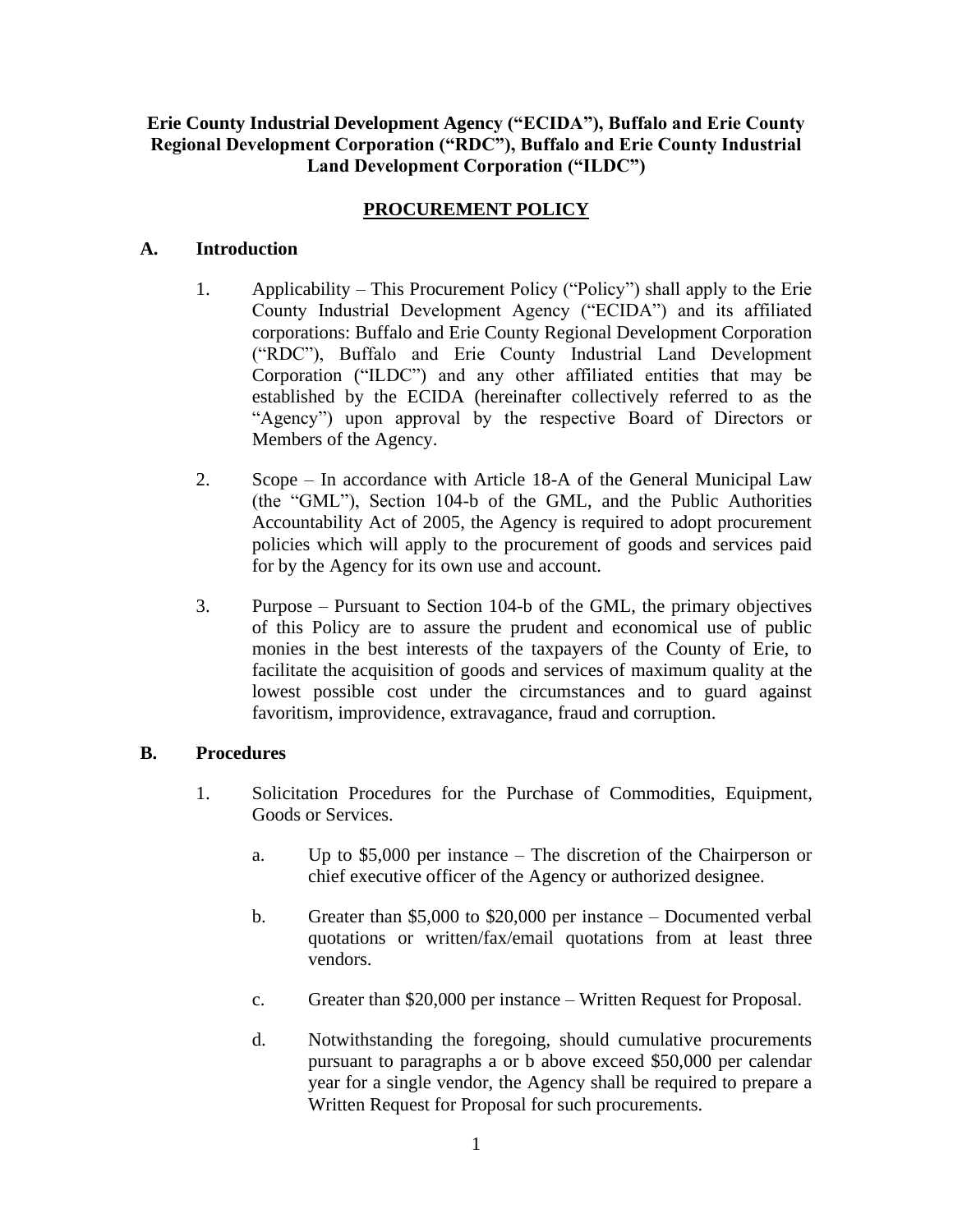# **Erie County Industrial Development Agency ("ECIDA"), Buffalo and Erie County Regional Development Corporation ("RDC"), Buffalo and Erie County Industrial Land Development Corporation ("ILDC")**

# **PROCUREMENT POLICY**

## **A. Introduction**

- 1. Applicability This Procurement Policy ("Policy") shall apply to the Erie County Industrial Development Agency ("ECIDA") and its affiliated corporations: Buffalo and Erie County Regional Development Corporation ("RDC"), Buffalo and Erie County Industrial Land Development Corporation ("ILDC") and any other affiliated entities that may be established by the ECIDA (hereinafter collectively referred to as the "Agency") upon approval by the respective Board of Directors or Members of the Agency.
- 2. Scope In accordance with Article 18-A of the General Municipal Law (the "GML"), Section 104-b of the GML, and the Public Authorities Accountability Act of 2005, the Agency is required to adopt procurement policies which will apply to the procurement of goods and services paid for by the Agency for its own use and account.
- 3. Purpose Pursuant to Section 104-b of the GML, the primary objectives of this Policy are to assure the prudent and economical use of public monies in the best interests of the taxpayers of the County of Erie, to facilitate the acquisition of goods and services of maximum quality at the lowest possible cost under the circumstances and to guard against favoritism, improvidence, extravagance, fraud and corruption.

# **B. Procedures**

- 1. Solicitation Procedures for the Purchase of Commodities, Equipment, Goods or Services.
	- a. Up to \$5,000 per instance The discretion of the Chairperson or chief executive officer of the Agency or authorized designee.
	- b. Greater than \$5,000 to \$20,000 per instance Documented verbal quotations or written/fax/email quotations from at least three vendors.
	- c. Greater than \$20,000 per instance Written Request for Proposal.
	- d. Notwithstanding the foregoing, should cumulative procurements pursuant to paragraphs a or b above exceed \$50,000 per calendar year for a single vendor, the Agency shall be required to prepare a Written Request for Proposal for such procurements.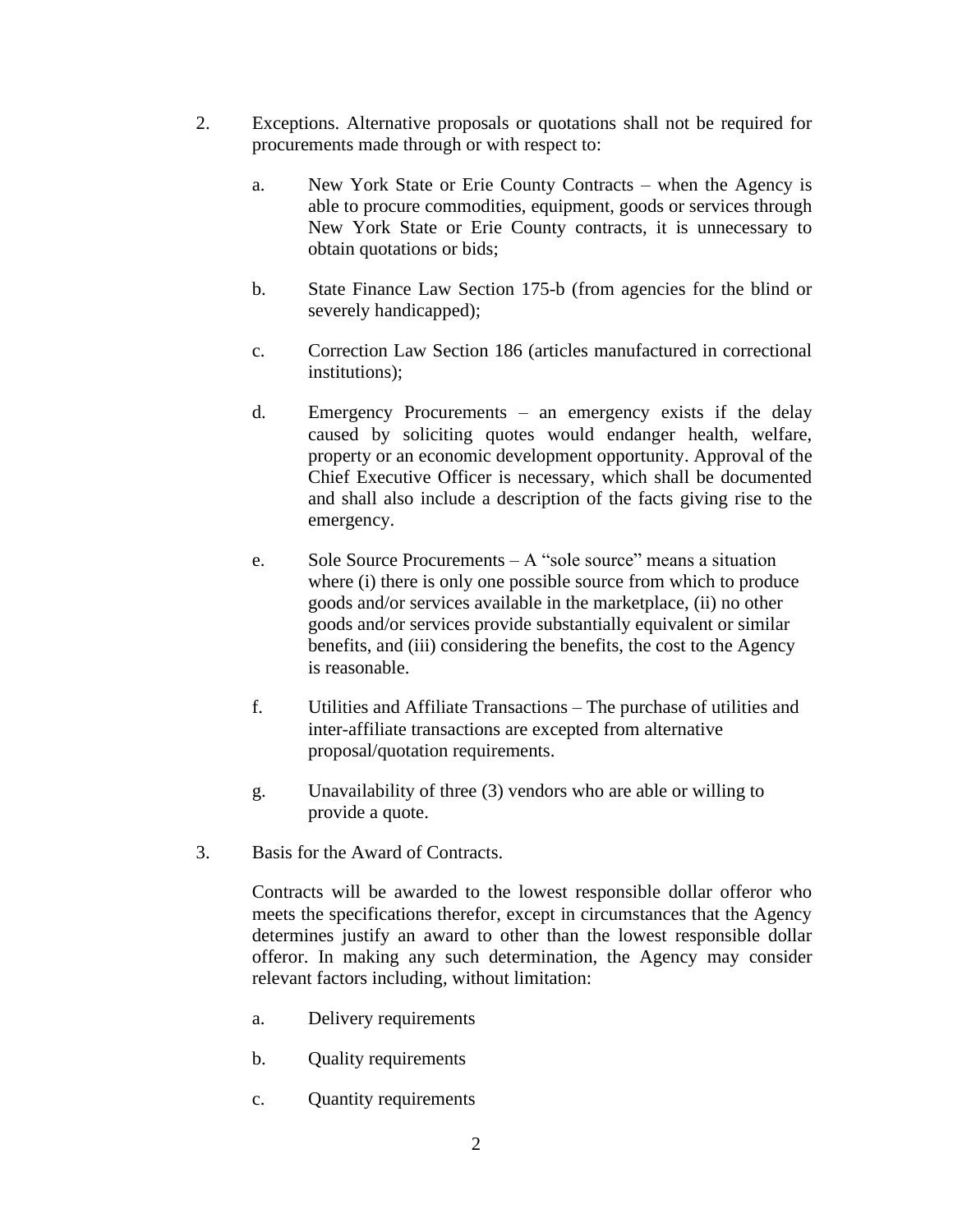- 2. Exceptions. Alternative proposals or quotations shall not be required for procurements made through or with respect to:
	- a. New York State or Erie County Contracts when the Agency is able to procure commodities, equipment, goods or services through New York State or Erie County contracts, it is unnecessary to obtain quotations or bids;
	- b. State Finance Law Section 175-b (from agencies for the blind or severely handicapped);
	- c. Correction Law Section 186 (articles manufactured in correctional institutions);
	- d. Emergency Procurements an emergency exists if the delay caused by soliciting quotes would endanger health, welfare, property or an economic development opportunity. Approval of the Chief Executive Officer is necessary, which shall be documented and shall also include a description of the facts giving rise to the emergency.
	- e. Sole Source Procurements A "sole source" means a situation where (i) there is only one possible source from which to produce goods and/or services available in the marketplace, (ii) no other goods and/or services provide substantially equivalent or similar benefits, and (iii) considering the benefits, the cost to the Agency is reasonable.
	- f. Utilities and Affiliate Transactions The purchase of utilities and inter-affiliate transactions are excepted from alternative proposal/quotation requirements.
	- g. Unavailability of three (3) vendors who are able or willing to provide a quote.
- 3. Basis for the Award of Contracts.

Contracts will be awarded to the lowest responsible dollar offeror who meets the specifications therefor, except in circumstances that the Agency determines justify an award to other than the lowest responsible dollar offeror. In making any such determination, the Agency may consider relevant factors including, without limitation:

- a. Delivery requirements
- b. Quality requirements
- c. Quantity requirements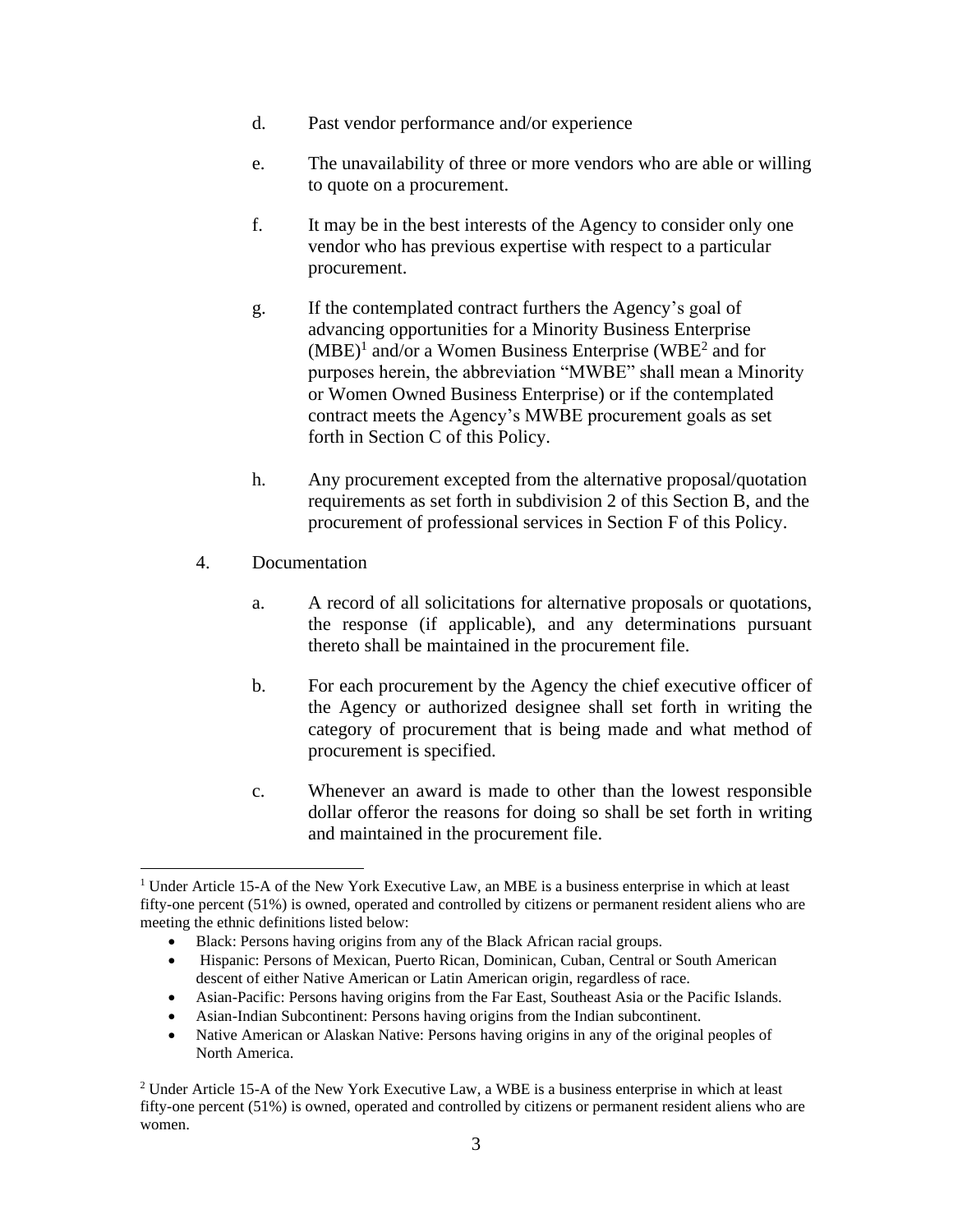- d. Past vendor performance and/or experience
- e. The unavailability of three or more vendors who are able or willing to quote on a procurement.
- f. It may be in the best interests of the Agency to consider only one vendor who has previous expertise with respect to a particular procurement.
- g. If the contemplated contract furthers the Agency's goal of advancing opportunities for a Minority Business Enterprise  $(MBE)^1$  and/or a Women Business Enterprise (WBE<sup>2</sup> and for purposes herein, the abbreviation "MWBE" shall mean a Minority or Women Owned Business Enterprise) or if the contemplated contract meets the Agency's MWBE procurement goals as set forth in Section C of this Policy.
- h. Any procurement excepted from the alternative proposal/quotation requirements as set forth in subdivision 2 of this Section B, and the procurement of professional services in Section F of this Policy.
- 4. Documentation
	- a. A record of all solicitations for alternative proposals or quotations, the response (if applicable), and any determinations pursuant thereto shall be maintained in the procurement file.
	- b. For each procurement by the Agency the chief executive officer of the Agency or authorized designee shall set forth in writing the category of procurement that is being made and what method of procurement is specified.
	- c. Whenever an award is made to other than the lowest responsible dollar offeror the reasons for doing so shall be set forth in writing and maintained in the procurement file.

- Asian-Pacific: Persons having origins from the Far East, Southeast Asia or the Pacific Islands.
- Asian-Indian Subcontinent: Persons having origins from the Indian subcontinent.

<sup>&</sup>lt;sup>1</sup> Under Article 15-A of the New York Executive Law, an MBE is a business enterprise in which at least fifty-one percent (51%) is owned, operated and controlled by citizens or permanent resident aliens who are meeting the ethnic definitions listed below:

<sup>•</sup> Black: Persons having origins from any of the Black African racial groups.

<sup>•</sup> Hispanic: Persons of Mexican, Puerto Rican, Dominican, Cuban, Central or South American descent of either Native American or Latin American origin, regardless of race.

<sup>•</sup> Native American or Alaskan Native: Persons having origins in any of the original peoples of North America.

<sup>2</sup> Under Article 15-A of the New York Executive Law, a WBE is a business enterprise in which at least fifty-one percent (51%) is owned, operated and controlled by citizens or permanent resident aliens who are women.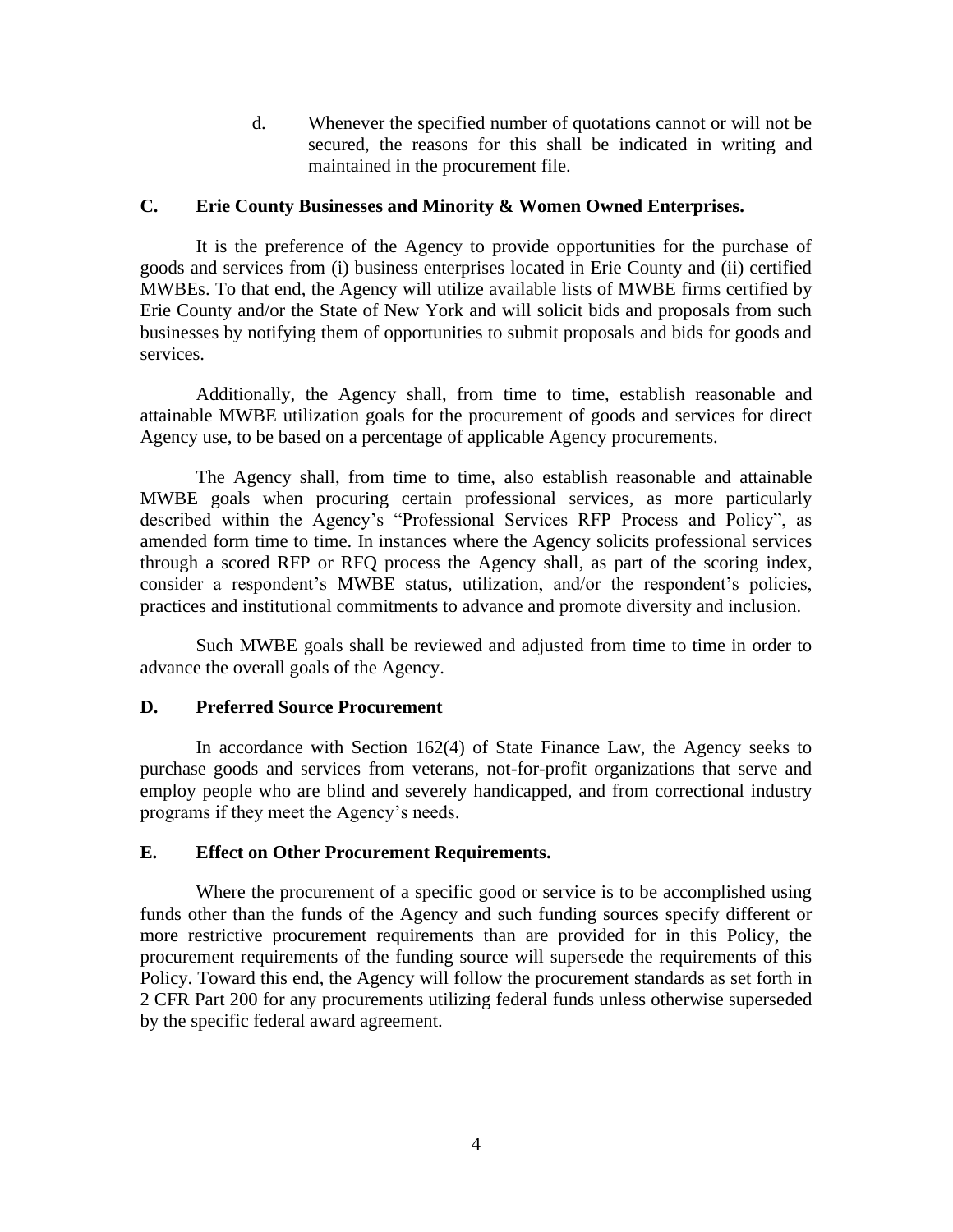d. Whenever the specified number of quotations cannot or will not be secured, the reasons for this shall be indicated in writing and maintained in the procurement file.

### **C. Erie County Businesses and Minority & Women Owned Enterprises.**

It is the preference of the Agency to provide opportunities for the purchase of goods and services from (i) business enterprises located in Erie County and (ii) certified MWBEs. To that end, the Agency will utilize available lists of MWBE firms certified by Erie County and/or the State of New York and will solicit bids and proposals from such businesses by notifying them of opportunities to submit proposals and bids for goods and services.

Additionally, the Agency shall, from time to time, establish reasonable and attainable MWBE utilization goals for the procurement of goods and services for direct Agency use, to be based on a percentage of applicable Agency procurements.

The Agency shall, from time to time, also establish reasonable and attainable MWBE goals when procuring certain professional services, as more particularly described within the Agency's "Professional Services RFP Process and Policy", as amended form time to time. In instances where the Agency solicits professional services through a scored RFP or RFQ process the Agency shall, as part of the scoring index, consider a respondent's MWBE status, utilization, and/or the respondent's policies, practices and institutional commitments to advance and promote diversity and inclusion.

Such MWBE goals shall be reviewed and adjusted from time to time in order to advance the overall goals of the Agency.

#### **D. Preferred Source Procurement**

In accordance with Section 162(4) of State Finance Law, the Agency seeks to purchase goods and services from veterans, not-for-profit organizations that serve and employ people who are blind and severely handicapped, and from correctional industry programs if they meet the Agency's needs.

#### **E. Effect on Other Procurement Requirements.**

Where the procurement of a specific good or service is to be accomplished using funds other than the funds of the Agency and such funding sources specify different or more restrictive procurement requirements than are provided for in this Policy, the procurement requirements of the funding source will supersede the requirements of this Policy. Toward this end, the Agency will follow the procurement standards as set forth in 2 CFR Part 200 for any procurements utilizing federal funds unless otherwise superseded by the specific federal award agreement.